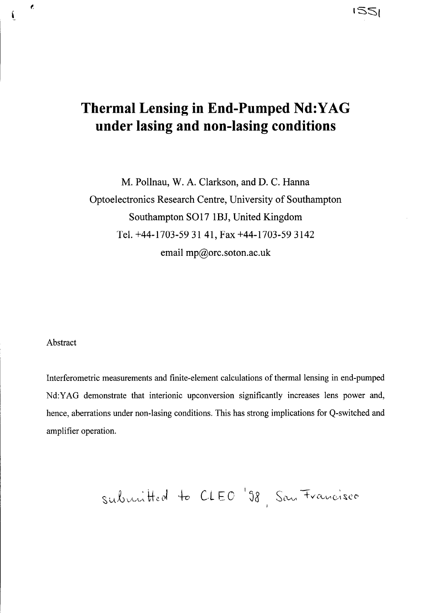### ' SS(

# Thermal Lensing in End-Pumped Nd:YAG under lasing and non-lasing conditions

M. Pollnau, W. A. Clarkson, and D. C. Hanna Optoelectronics Research Centre, University of Southampton Southampton SO17 1BJ, United Kingdom Tel. +44-1703-59 31 41, Fax +44-1703-59 3142 email mp@orc.soton.ac.uk

#### Abstract

 $\pmb{\epsilon}$ 

Í

~

Interferometric measurements and finite-element calculations of thermal lensing in end-pumped Nd:YAG demonstrate that interionic upconversion significantly increases lens power and, hence, aberrations under non-lasing conditions. This has strong implications for Q-switched and amplifier operation.

submitted to CLEO '98, San Francisco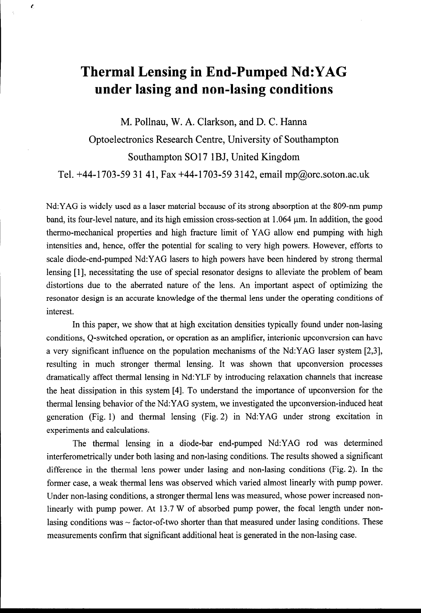## Thermal Lensing in End-Pumped Nd:YAG under lasing and non-lasing conditions

¢.

M. Pollnau, W. A. Clarkson, and D. C. Hanna

Optoelectronics Research Centre, University of Southampton Southampton SO17 1BJ, United Kingdom

Tel. +44-1703-59 31 41, Fax +44-1703-59 3142, email mp@orc.soton.ac.uk

Nd:YAG is widely used as a laser material because of its strong absorption at the 809-nm pump band, its four-level nature, and its high emission cross-section at  $1.064 \mu m$ . In addition, the good thermo-mechanical properties and high fracture limit of YAG allow end pumping with high intensities and, hence, offer the potential for scaling to very high powers. However, efforts to scale diode-end-pumped Nd:YAG lasers to high powers have been hindered by strong thermal lensing [l], necessitating the use of special resonator designs to alleviate the problem of beam distortions due to the aberrated nature of the lens. An important aspect of optimizing the resonator design is an accurate knowledge of the thermal lens under the operating conditions of interest.

In this paper, we show that at high excitation densities typically found under non-lasing conditions, Q-switched operation, or operation as an amplifier, interionic upconversion can have a very significant influence on the population mechanisms of the Nd:YAG laser system [2,3], resulting in much stronger thermal lensing. It was shown that upconversion processes dramatically affect thermal lensing in Nd:YLF by introducing relaxation channels that increase the heat dissipation in this system [4]. To understand the importance of upconversion for the thermal lensing behavior of the Nd:YAG system, we investigated the upconversion-induced heat generation (Fig. 1) and thermal lensing (Fig. 2) in Nd:YAG under strong excitation in experiments and calculations.

The thermal lensing in a diode-bar end-pumped Nd:YAG rod was determined interferometrically under both lasing and non-lasing conditions. The results showed a significant difference in the thermal lens power under lasing and non-lasing conditions (Fig. 2). In the former case, a weak thermal lens was observed which varied almost linearly with pump power. Under non-lasing conditions, a stronger thermal lens was measured, whose power increased nonlinearly with pump power. At 13.7 W of absorbed pump power, the focal length under nonlasing conditions was  $\sim$  factor-of-two shorter than that measured under lasing conditions. These measurements confirm that significant additional heat is generated in the non-lasing case.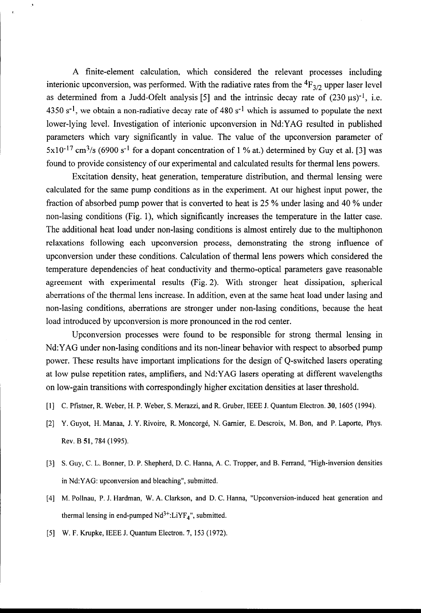A finite-element calculation, which considered the relevant processes including interionic upconversion, was performed. With the radiative rates from the  ${}^{4}F_{3/2}$  upper laser level as determined from a Judd-Ofelt analysis [5] and the intrinsic decay rate of  $(230 \,\mu s)^{-1}$ , i.e. 4350 s<sup>-1</sup>, we obtain a non-radiative decay rate of 480 s<sup>-1</sup> which is assumed to populate the next lower-lying level. Investigation of interionic upconversion in Nd:YAG resulted in published parameters which vary significantly in value. The value of the upconversion parameter of  $5x10^{-17}$  cm<sup>3</sup>/s (6900 s<sup>-1</sup> for a dopant concentration of 1 % at.) determined by Guy et al. [3] was found to provide consistency of our experimental and calculated results for thermal lens powers.

Excitation density, heat generation, temperature distribution, and thermal lensing were calculated for the same pump conditions as in the experiment. At our highest input power, the fraction of absorbed pump power that is converted to heat is 25 % under lasing and 40 % under non-lasing conditions (Fig. l), which significantly increases the temperature in the latter case. The additional heat load under non-lasing conditions is almost entirely due to the multiphonon relaxations following each upconversion process, demonstrating the strong influence of upconversion under these conditions. Calculation of thermal lens powers which considered the temperature dependencies of heat conductivity and thermo-optical parameters gave reasonable agreement with experimental results (Fig. 2). With stronger heat dissipation, spherical aberrations of the thermal lens increase. In addition, even at the same heat load under lasing and non-lasing conditions, aberrations are stronger under non-lasing conditions, because the heat load introduced by upconversion is more pronounced in the rod center.

Upconversion processes were found to be responsible for strong thermal lensing in Nd:YAG under non-lasing conditions and its non-linear behavior with respect to absorbed pump power. These results have important implications for the design of Q-switched lasers operating at low pulse repetition rates, amplifiers, and Nd:YAG lasers operating at different wavelengths on low-gain transitions with correspondingly higher excitation densities at laser threshold.

- [1] C. Pfistner, R. Weber, H. P. Weber, S. Merazzi, and R. Gruber, IEEE J. Quantum Electron. 30, 1605 (1994).
- [2] Y. Guyot, H. Manaa, J. Y. Rivoire, R. Moncorgé, N. Garnier, E. Descroix, M. Bon, and P. Laporte, Phys. Rev. B 51,784 (1995).
- [3] S. Guy, C. L. Bonner, D. P. Shepherd, D. C. Hanna, A. C. Tropper, and B. Ferrand, "High-inversion densities in Nd:YAG: upconversion and bleaching", submitted.
- [4] M. Pollnau, P. J. Hardman, W. A. Clarkson, and D. C. Hanna, "Upconversion-induced heat generation and thermal lensing in end-pumped  $Nd^{3+}:LiYF<sub>4</sub>$ ", submitted.
- [5] W. F. Krupke, IEEE J. Quantum Electron. 7, 153 (1972).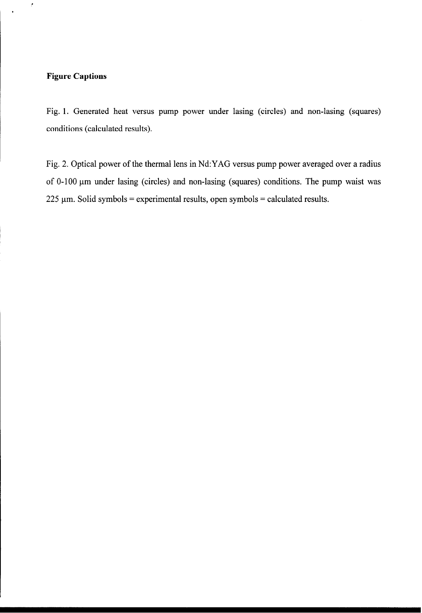### Figure Captions

 $\epsilon$ 

Fig. 1. Generated heat versus pump power under lasing (circles) and non-lasing (squares) conditions (calculated results).

Fig. 2. Optical power of the thermal lens in Nd:YAG versus pump power averaged over a radius of  $0-100 \mu m$  under lasing (circles) and non-lasing (squares) conditions. The pump waist was  $225 \mu m$ . Solid symbols = experimental results, open symbols = calculated results.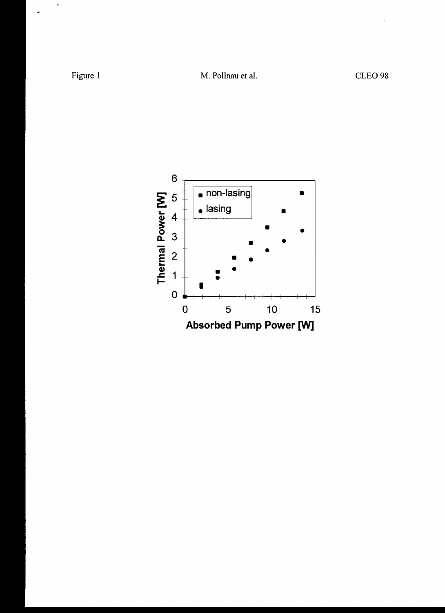$\bar{\epsilon}$